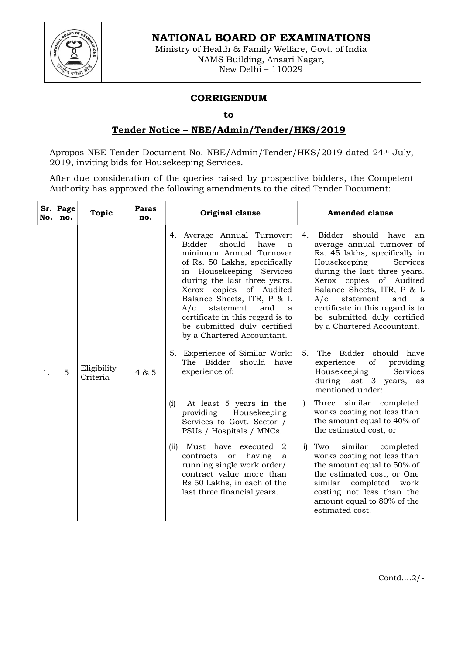



Ministry of Health & Family Welfare, Govt. of India NAMS Building, Ansari Nagar, New Delhi – 110029

## CORRIGENDUM

## to

## Tender Notice – NBE/Admin/Tender/HKS/2019

Apropos NBE Tender Document No. NBE/Admin/Tender/HKS/2019 dated 24th July, 2019, inviting bids for Housekeeping Services.

After due consideration of the queries raised by prospective bidders, the Competent Authority has approved the following amendments to the cited Tender Document:

| No. | Sr. Page<br>no. | <b>Topic</b>            | <b>Paras</b><br>no. | Original clause                                                                                                                                                                                                                                                                                                                                                                  | <b>Amended clause</b>                                                                                                                                                                                                                                                                                                                                 |
|-----|-----------------|-------------------------|---------------------|----------------------------------------------------------------------------------------------------------------------------------------------------------------------------------------------------------------------------------------------------------------------------------------------------------------------------------------------------------------------------------|-------------------------------------------------------------------------------------------------------------------------------------------------------------------------------------------------------------------------------------------------------------------------------------------------------------------------------------------------------|
| 1.  | 5               | Eligibility<br>Criteria | 4 & 5               | 4. Average Annual Turnover:<br>should<br>Bidder<br>have<br>a<br>minimum Annual Turnover<br>of Rs. 50 Lakhs, specifically<br>in Housekeeping Services<br>during the last three years.<br>Xerox copies of Audited<br>Balance Sheets, ITR, P & L<br>and<br>A/c<br>statement<br>a a<br>certificate in this regard is to<br>be submitted duly certified<br>by a Chartered Accountant. | Bidder should have<br>4.<br>an<br>average annual turnover of<br>Rs. 45 lakhs, specifically in<br>Services<br>Housekeeping<br>during the last three years.<br>Xerox copies of Audited<br>Balance Sheets, ITR, P & L<br>statement<br>A/c<br>and<br>a a<br>certificate in this regard is to<br>be submitted duly certified<br>by a Chartered Accountant. |
|     |                 |                         |                     | 5. Experience of Similar Work:<br>The Bidder<br>should have<br>experience of:                                                                                                                                                                                                                                                                                                    | The Bidder should have<br>5.<br>of<br>experience<br>providing<br>Housekeeping<br>Services<br>during last 3 years, as<br>mentioned under:                                                                                                                                                                                                              |
|     |                 |                         |                     | At least 5 years in the<br>(i)<br>Housekeeping<br>providing<br>Services to Govt. Sector /<br>PSUs / Hospitals / MNCs.                                                                                                                                                                                                                                                            | Three similar completed<br>i)<br>works costing not less than<br>the amount equal to 40% of<br>the estimated cost, or                                                                                                                                                                                                                                  |
|     |                 |                         |                     | Must have executed<br>(ii)<br>2<br>having<br>contracts<br>or<br>a<br>running single work order/<br>contract value more than<br>Rs 50 Lakhs, in each of the<br>last three financial years.                                                                                                                                                                                        | similar<br>$\overline{11}$<br>Two<br>completed<br>works costing not less than<br>the amount equal to 50% of<br>the estimated cost, or One<br>similar<br>completed work<br>costing not less than the<br>amount equal to 80% of the<br>estimated cost.                                                                                                  |